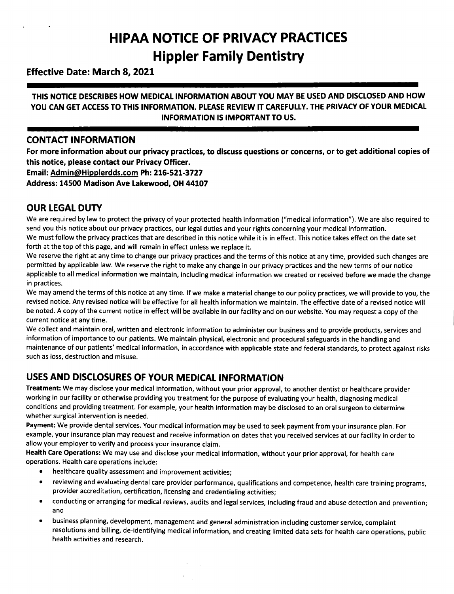# **HIPAA NOTICE OF PRIVACY PRACTICES Hippler Family Dentistry**

### **Effective Date: March 8, 2021**

#### **THIS NOTICE DESCRIBES HOW MEDICAL INFORMATION ABOUT YOU MAY BE USED AND DISCLOSED AND HOW YOU CAN GET ACCESSTO THIS INFORMATION. PLEASE REVIEW IT CAREFULLY. THE PRIVACY OF YOUR MEDICAL INFORMATION IS IMPORTANT TO US.**

#### **CONTACT INFORMATION**

For more information about our privacy practices, to discuss questions or concerns, or to get additional copies of **this notice, please contact our Privacy Officer.**

**Email: Admin@Hipplerdds.com Ph: 216-521-3727**

**Address: 14500 Madison Ave Lakewood, OH 44107**

## **OUR LEGAL DUTY**

We are required by law to protect the privacy of your protected health information ("medical information"). We are also required to send you this notice about our privacy practices, our legal duties and your rights concerning your medical information. We must follow the privacy practices that are described in this notice while it is in effect. This notice takes effect on the date set forth at the top of this page, and will remain in effect unless we replace it.

We reserve the right at any time to change our privacy practices and the terms of this notice at any time, provided such changes are permitted by applicable law. We reserve the right to make any change in our privacy practices and the new terms of our notice applicable to all medical information we maintain, including medical information we created or received before we made the change in practices.

We may amend the terms of this notice at any time. If we make a material change to our policy practices, we will provide to you, the revised notice. Any revised notice will be effective for all health information we maintain. The effective date of a revised notice will be noted. A copy of the current notice in effect will be available in our facility and on our website. You may request a copy of the current notice at any time.

We collect and maintain oral, written and electronic information to administer our business and to provide products, services and information of importance to our patients. We maintain physical, electronic and procedural safeguards in the handling and maintenance of our patients' medical information, in accordance with applicable state and federal standards, to protect against risks such as loss, destruction and misuse.

## **USESAND DISCLOSURES OF YOUR MEDICAL INFORMATION**

**Treatment:** We may disclose your medical information, without your prior approval, to another dentist or healthcare provider working in our facility or otherwise providing you treatment for the purpose of evaluating your health, diagnosing medical conditions and providing treatment. For example, your health information may be disclosed to an oral surgeon to determine whether surgical intervention is needed.

**Payment:** We provide dental services.Your medical information may be used to seek payment from your insurance plan. For example, your insurance plan may request and receive information on dates that you received services at our facility in order to allow your employer to verify and process your insurance claim.

Health Care Operations: We may use and disclose your medical information, without your prior approval, for health care operations. Health care operations include:

- healthcare quality assessment and improvement activities;
- reviewing and evaluating dental care provider performance, qualifications and competence, health care training programs, provider accreditation, certification, licensing and credentialing activities;
- conducting or arranging for medical reviews, audits and legal services, including fraud and abuse detection and prevention; and
- business planning, development, management and general administration including customer service, complaint resolutions and billing, de-identifying medical information, and creating limited data sets for health care operations, public health activities and research.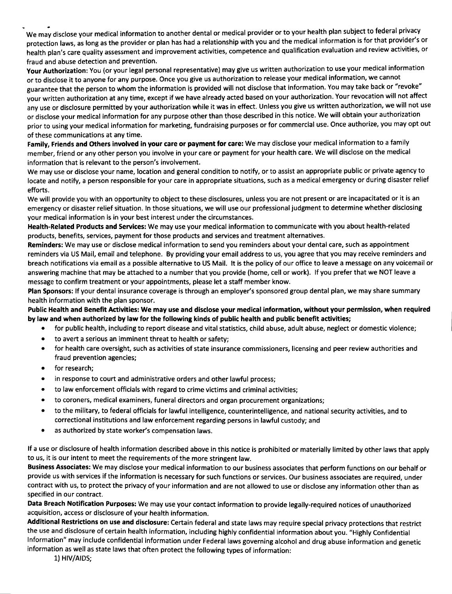We may disclose your medical information to another dental or medical provider or to your health plan subject to federal privacy protection laws, as long as the provider or plan has had a relationship with you and the medical information is for that provider's or health plan's care quality assessment and improvement activities, competence and qualification evaluation and review activities, or fraud and abuse detection and prevention.

Your Authorization: You (or your legal personal representative) may give us written authorization to use your medical information or to disclose it to anyone for any purpose. Once you give us authorization to release your medical information, we cannot guarantee that the person to whom the information is provided will not disclose that information. You may take back or "revoke" your written authorization at any time, except if we have already acted based on your authorization. Your revocation will not affect any use or disclosure permitted by your authorization while it was in effect. Unless you give us written authorization, we will not use or disclose your medical information for any purpose other than those described in this notice. We will obtain your authorization prior to using your medical information for marketing, fundraising purposes or for commercial use. Once authorize, you may opt out of these communications at any time.

Family, Friends and Others involved in your care or payment for care: We may disclose your medical information to a family member, friend or any other person you involve in your care or payment for your health care. We will disclose on the medical information that is relevant to the person's involvement.

We may use or disclose your name, location and general condition to notify, or to assist an appropriate public or private agency to locate and notify, a person responsible for your care in appropriate situations, such as a medical emergency or during disaster relief efforts.

We will provide you with an opportunity to object to these disclosures, unless you are not present or are incapacitated or it is an emergency or disaster relief situation. In those situations, we will use our professional judgment to determine whether disclosing your medical information is in your best interest under the circumstances.

Health-Related Products and Services: We may use your medical information to communicate with you about health-related products, benefits, services, payment for those products and services and treatment alternatives.

Reminders: We may use or disclose medical information to send you reminders about your dental care, such as appointment reminders via US Mail, email and telephone. By providing your email address to us, you agree that you may receive reminders and breach notifications via email as a possible alternative to US Mail. It is the policy of our office to leave a message on any voicemail or answering machine that may be attached to a number that you provide (home, cell or work). If you prefer that we NOT leave a message to confirm treatment or your appointments, please let a staff member know.

Plan Sponsors: If your dental insurance coverage is through an employer's sponsored group dental plan, we may share summary health information with the plan sponsor.

Public Health and Benefit Activities: We may use and disclose your medical information, without your permission, when required by law and when authorized by law for the following kinds of public health and public benefit activities;

- for public health, including to report disease and vital statistics, child abuse, adult abuse, neglect or domestic violence;
- to avert a serious an imminent threat to health or safety;
- for health care oversight, such as activities of state insurance commissioners, licensing and peer review authorities and fraud prevention agencies;
- for research;
- in response to court and administrative orders and other lawful process;
- to law enforcement officials with regard to crime victims and criminal activities;
- to coroners, medical examiners, funeral directors and organ procurement organizations;
- to the military, to federal officials for lawful intelligence, counterintelligence, and national security activities, and to correctional institutions and law enforcement regarding persons in lawful custody; and
- as authorized by state worker's compensation laws.

If a use or disclosure of health information described above in this notice is prohibited or materially limited by other laws that apply to us, it is our intent to meet the requirements of the more stringent law.

Business Associates: We may disclose your medical information to our business associates that perform functions on our behalf or provide us with services if the information is necessary for such functions or services. Our business associates are required, under contract with us, to protect the privacy of your information and are not allowed to use or disclose any information other than as specified in our contract.

Data Breach Notification Purposes: We may use your contact information to provide legally-required notices of unauthorized acquisition, access or disclosure of your health information.

Additional Restrictions on use and disclosure: Certain federal and state laws may require special privacy protections that restrict the use and disclosure of certain health information, including highly confidential information about you. "Highly Confidential Information" may include confidential information under Federal laws governing alcohol and drug abuse information and genetic information as well as state laws that often protect the following types of information:

1) HIV/AIDS;